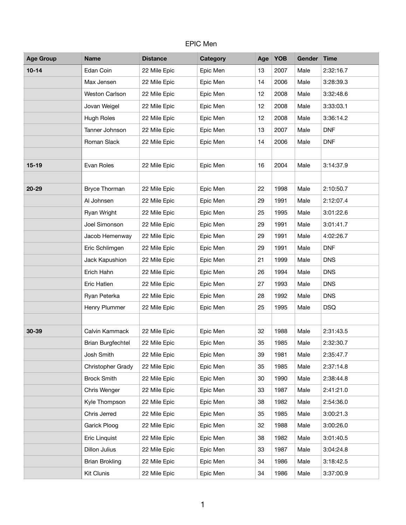## EPIC Men

| <b>Age Group</b> | <b>Name</b>              | <b>Distance</b> | <b>Category</b> | Age | <b>YOB</b> | <b>Gender</b> | Time       |
|------------------|--------------------------|-----------------|-----------------|-----|------------|---------------|------------|
| $10 - 14$        | Edan Coin                | 22 Mile Epic    | Epic Men        | 13  | 2007       | Male          | 2:32:16.7  |
|                  | Max Jensen               | 22 Mile Epic    | Epic Men        | 14  | 2006       | Male          | 3:28:39.3  |
|                  | <b>Weston Carlson</b>    | 22 Mile Epic    | Epic Men        | 12  | 2008       | Male          | 3:32:48.6  |
|                  | Jovan Weigel             | 22 Mile Epic    | Epic Men        | 12  | 2008       | Male          | 3:33:03.1  |
|                  | <b>Hugh Roles</b>        | 22 Mile Epic    | Epic Men        | 12  | 2008       | Male          | 3:36:14.2  |
|                  | Tanner Johnson           | 22 Mile Epic    | Epic Men        | 13  | 2007       | Male          | <b>DNF</b> |
|                  | Roman Slack              | 22 Mile Epic    | Epic Men        | 14  | 2006       | Male          | <b>DNF</b> |
|                  |                          |                 |                 |     |            |               |            |
| $15-19$          | Evan Roles               | 22 Mile Epic    | Epic Men        | 16  | 2004       | Male          | 3:14:37.9  |
|                  |                          |                 |                 |     |            |               |            |
| $20 - 29$        | Bryce Thorman            | 22 Mile Epic    | Epic Men        | 22  | 1998       | Male          | 2:10:50.7  |
|                  | Al Johnsen               | 22 Mile Epic    | Epic Men        | 29  | 1991       | Male          | 2:12:07.4  |
|                  | Ryan Wright              | 22 Mile Epic    | Epic Men        | 25  | 1995       | Male          | 3:01:22.6  |
|                  | Joel Simonson            | 22 Mile Epic    | Epic Men        | 29  | 1991       | Male          | 3:01:41.7  |
|                  | Jacob Hemenway           | 22 Mile Epic    | Epic Men        | 29  | 1991       | Male          | 4:02:26.7  |
|                  | Eric Schlimgen           | 22 Mile Epic    | Epic Men        | 29  | 1991       | Male          | <b>DNF</b> |
|                  | Jack Kapushion           | 22 Mile Epic    | Epic Men        | 21  | 1999       | Male          | <b>DNS</b> |
|                  | Erich Hahn               | 22 Mile Epic    | Epic Men        | 26  | 1994       | Male          | <b>DNS</b> |
|                  | Eric Hatlen              | 22 Mile Epic    | Epic Men        | 27  | 1993       | Male          | <b>DNS</b> |
|                  | Ryan Peterka             | 22 Mile Epic    | Epic Men        | 28  | 1992       | Male          | <b>DNS</b> |
|                  | Henry Plummer            | 22 Mile Epic    | Epic Men        | 25  | 1995       | Male          | <b>DSQ</b> |
|                  |                          |                 |                 |     |            |               |            |
| $30 - 39$        | Calvin Kammack           | 22 Mile Epic    | Epic Men        | 32  | 1988       | Male          | 2:31:43.5  |
|                  | <b>Brian Burgfechtel</b> | 22 Mile Epic    | Epic Men        | 35  | 1985       | Male          | 2:32:30.7  |
|                  | Josh Smith               | 22 Mile Epic    | Epic Men        | 39  | 1981       | Male          | 2:35:47.7  |
|                  | Christopher Grady        | 22 Mile Epic    | Epic Men        | 35  | 1985       | Male          | 2:37:14.8  |
|                  | <b>Brock Smith</b>       | 22 Mile Epic    | Epic Men        | 30  | 1990       | Male          | 2:38:44.8  |
|                  | Chris Wenger             | 22 Mile Epic    | Epic Men        | 33  | 1987       | Male          | 2:41:21.0  |
|                  | Kyle Thompson            | 22 Mile Epic    | Epic Men        | 38  | 1982       | Male          | 2:54:36.0  |
|                  | Chris Jerred             | 22 Mile Epic    | Epic Men        | 35  | 1985       | Male          | 3:00:21.3  |
|                  | Garick Ploog             | 22 Mile Epic    | Epic Men        | 32  | 1988       | Male          | 3:00:26.0  |
|                  | Eric Linquist            | 22 Mile Epic    | Epic Men        | 38  | 1982       | Male          | 3:01:40.5  |
|                  | Dillon Julius            | 22 Mile Epic    | Epic Men        | 33  | 1987       | Male          | 3:04:24.8  |
|                  | <b>Brian Brokling</b>    | 22 Mile Epic    | Epic Men        | 34  | 1986       | Male          | 3:18:42.5  |
|                  | <b>Kit Clunis</b>        | 22 Mile Epic    | Epic Men        | 34  | 1986       | Male          | 3:37:00.9  |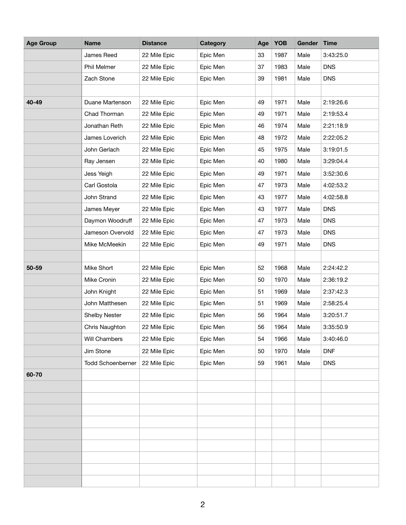| <b>Age Group</b> | <b>Name</b>              | <b>Distance</b> | <b>Category</b> | Age | <b>YOB</b> | <b>Gender</b> | Time       |
|------------------|--------------------------|-----------------|-----------------|-----|------------|---------------|------------|
|                  | James Reed               | 22 Mile Epic    | Epic Men        | 33  | 1987       | Male          | 3:43:25.0  |
|                  | Phil Melmer              | 22 Mile Epic    | Epic Men        | 37  | 1983       | Male          | <b>DNS</b> |
|                  | Zach Stone               | 22 Mile Epic    | Epic Men        | 39  | 1981       | Male          | <b>DNS</b> |
|                  |                          |                 |                 |     |            |               |            |
| 40-49            | Duane Martenson          | 22 Mile Epic    | Epic Men        | 49  | 1971       | Male          | 2:19:26.6  |
|                  | Chad Thorman             | 22 Mile Epic    | Epic Men        | 49  | 1971       | Male          | 2:19:53.4  |
|                  | Jonathan Reth            | 22 Mile Epic    | Epic Men        | 46  | 1974       | Male          | 2:21:18.9  |
|                  | James Loverich           | 22 Mile Epic    | Epic Men        | 48  | 1972       | Male          | 2:22:05.2  |
|                  | John Gerlach             | 22 Mile Epic    | Epic Men        | 45  | 1975       | Male          | 3:19:01.5  |
|                  | Ray Jensen               | 22 Mile Epic    | Epic Men        | 40  | 1980       | Male          | 3:29:04.4  |
|                  | Jess Yeigh               | 22 Mile Epic    | Epic Men        | 49  | 1971       | Male          | 3:52:30.6  |
|                  | Carl Gostola             | 22 Mile Epic    | Epic Men        | 47  | 1973       | Male          | 4:02:53.2  |
|                  | John Strand              | 22 Mile Epic    | Epic Men        | 43  | 1977       | Male          | 4:02:58.8  |
|                  | James Meyer              | 22 Mile Epic    | Epic Men        | 43  | 1977       | Male          | <b>DNS</b> |
|                  | Daymon Woodruff          | 22 Mile Epic    | Epic Men        | 47  | 1973       | Male          | <b>DNS</b> |
|                  | Jameson Overvold         | 22 Mile Epic    | Epic Men        | 47  | 1973       | Male          | <b>DNS</b> |
|                  | Mike McMeekin            | 22 Mile Epic    | Epic Men        | 49  | 1971       | Male          | <b>DNS</b> |
|                  |                          |                 |                 |     |            |               |            |
| 50-59            | Mike Short               | 22 Mile Epic    | Epic Men        | 52  | 1968       | Male          | 2:24:42.2  |
|                  | Mike Cronin              | 22 Mile Epic    | Epic Men        | 50  | 1970       | Male          | 2:36:19.2  |
|                  | John Knight              | 22 Mile Epic    | Epic Men        | 51  | 1969       | Male          | 2:37:42.3  |
|                  | John Matthesen           | 22 Mile Epic    | Epic Men        | 51  | 1969       | Male          | 2:58:25.4  |
|                  | Shelby Nester            | 22 Mile Epic    | Epic Men        | 56  | 1964       | Male          | 3:20:51.7  |
|                  | Chris Naughton           | 22 Mile Epic    | Epic Men        | 56  | 1964       | Male          | 3:35:50.9  |
|                  | Will Chambers            | 22 Mile Epic    | Epic Men        | 54  | 1966       | Male          | 3:40:46.0  |
|                  | Jim Stone                | 22 Mile Epic    | Epic Men        | 50  | 1970       | Male          | <b>DNF</b> |
|                  | <b>Todd Schoenberner</b> | 22 Mile Epic    | Epic Men        | 59  | 1961       | Male          | <b>DNS</b> |
| 60-70            |                          |                 |                 |     |            |               |            |
|                  |                          |                 |                 |     |            |               |            |
|                  |                          |                 |                 |     |            |               |            |
|                  |                          |                 |                 |     |            |               |            |
|                  |                          |                 |                 |     |            |               |            |
|                  |                          |                 |                 |     |            |               |            |
|                  |                          |                 |                 |     |            |               |            |
|                  |                          |                 |                 |     |            |               |            |
|                  |                          |                 |                 |     |            |               |            |
|                  |                          |                 |                 |     |            |               |            |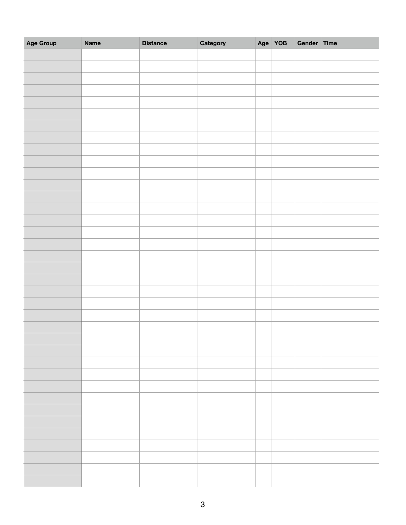| Age Group | <b>Name</b> | <b>Distance</b> | Category | Age YOB | Gender Time |  |
|-----------|-------------|-----------------|----------|---------|-------------|--|
|           |             |                 |          |         |             |  |
|           |             |                 |          |         |             |  |
|           |             |                 |          |         |             |  |
|           |             |                 |          |         |             |  |
|           |             |                 |          |         |             |  |
|           |             |                 |          |         |             |  |
|           |             |                 |          |         |             |  |
|           |             |                 |          |         |             |  |
|           |             |                 |          |         |             |  |
|           |             |                 |          |         |             |  |
|           |             |                 |          |         |             |  |
|           |             |                 |          |         |             |  |
|           |             |                 |          |         |             |  |
|           |             |                 |          |         |             |  |
|           |             |                 |          |         |             |  |
|           |             |                 |          |         |             |  |
|           |             |                 |          |         |             |  |
|           |             |                 |          |         |             |  |
|           |             |                 |          |         |             |  |
|           |             |                 |          |         |             |  |
|           |             |                 |          |         |             |  |
|           |             |                 |          |         |             |  |
|           |             |                 |          |         |             |  |
|           |             |                 |          |         |             |  |
|           |             |                 |          |         |             |  |
|           |             |                 |          |         |             |  |
|           |             |                 |          |         |             |  |
|           |             |                 |          |         |             |  |
|           |             |                 |          |         |             |  |
|           |             |                 |          |         |             |  |
|           |             |                 |          |         |             |  |
|           |             |                 |          |         |             |  |
|           |             |                 |          |         |             |  |
|           |             |                 |          |         |             |  |
|           |             |                 |          |         |             |  |
|           |             |                 |          |         |             |  |
|           |             |                 |          |         |             |  |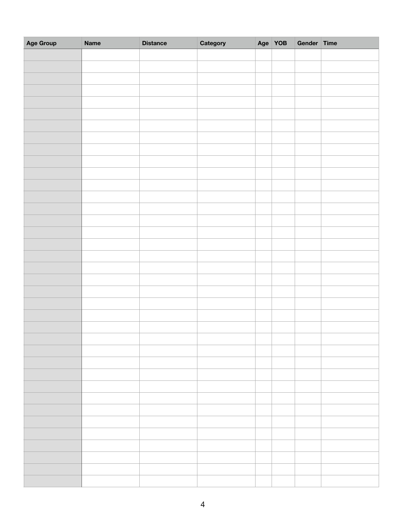| Age Group | <b>Name</b> | <b>Distance</b> | Category | Age YOB | Gender Time |  |
|-----------|-------------|-----------------|----------|---------|-------------|--|
|           |             |                 |          |         |             |  |
|           |             |                 |          |         |             |  |
|           |             |                 |          |         |             |  |
|           |             |                 |          |         |             |  |
|           |             |                 |          |         |             |  |
|           |             |                 |          |         |             |  |
|           |             |                 |          |         |             |  |
|           |             |                 |          |         |             |  |
|           |             |                 |          |         |             |  |
|           |             |                 |          |         |             |  |
|           |             |                 |          |         |             |  |
|           |             |                 |          |         |             |  |
|           |             |                 |          |         |             |  |
|           |             |                 |          |         |             |  |
|           |             |                 |          |         |             |  |
|           |             |                 |          |         |             |  |
|           |             |                 |          |         |             |  |
|           |             |                 |          |         |             |  |
|           |             |                 |          |         |             |  |
|           |             |                 |          |         |             |  |
|           |             |                 |          |         |             |  |
|           |             |                 |          |         |             |  |
|           |             |                 |          |         |             |  |
|           |             |                 |          |         |             |  |
|           |             |                 |          |         |             |  |
|           |             |                 |          |         |             |  |
|           |             |                 |          |         |             |  |
|           |             |                 |          |         |             |  |
|           |             |                 |          |         |             |  |
|           |             |                 |          |         |             |  |
|           |             |                 |          |         |             |  |
|           |             |                 |          |         |             |  |
|           |             |                 |          |         |             |  |
|           |             |                 |          |         |             |  |
|           |             |                 |          |         |             |  |
|           |             |                 |          |         |             |  |
|           |             |                 |          |         |             |  |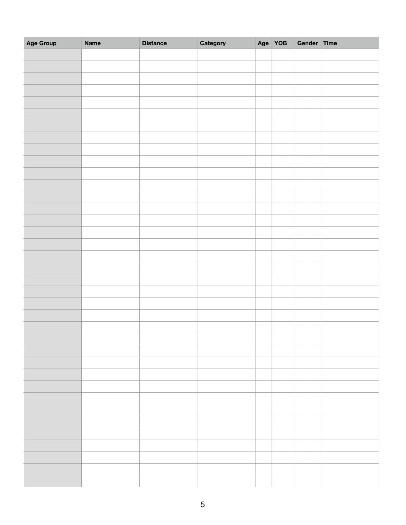| Age Group | <b>Name</b> | <b>Distance</b> | Category | Age YOB | Gender Time |  |
|-----------|-------------|-----------------|----------|---------|-------------|--|
|           |             |                 |          |         |             |  |
|           |             |                 |          |         |             |  |
|           |             |                 |          |         |             |  |
|           |             |                 |          |         |             |  |
|           |             |                 |          |         |             |  |
|           |             |                 |          |         |             |  |
|           |             |                 |          |         |             |  |
|           |             |                 |          |         |             |  |
|           |             |                 |          |         |             |  |
|           |             |                 |          |         |             |  |
|           |             |                 |          |         |             |  |
|           |             |                 |          |         |             |  |
|           |             |                 |          |         |             |  |
|           |             |                 |          |         |             |  |
|           |             |                 |          |         |             |  |
|           |             |                 |          |         |             |  |
|           |             |                 |          |         |             |  |
|           |             |                 |          |         |             |  |
|           |             |                 |          |         |             |  |
|           |             |                 |          |         |             |  |
|           |             |                 |          |         |             |  |
|           |             |                 |          |         |             |  |
|           |             |                 |          |         |             |  |
|           |             |                 |          |         |             |  |
|           |             |                 |          |         |             |  |
|           |             |                 |          |         |             |  |
|           |             |                 |          |         |             |  |
|           |             |                 |          |         |             |  |
|           |             |                 |          |         |             |  |
|           |             |                 |          |         |             |  |
|           |             |                 |          |         |             |  |
|           |             |                 |          |         |             |  |
|           |             |                 |          |         |             |  |
|           |             |                 |          |         |             |  |
|           |             |                 |          |         |             |  |
|           |             |                 |          |         |             |  |
|           |             |                 |          |         |             |  |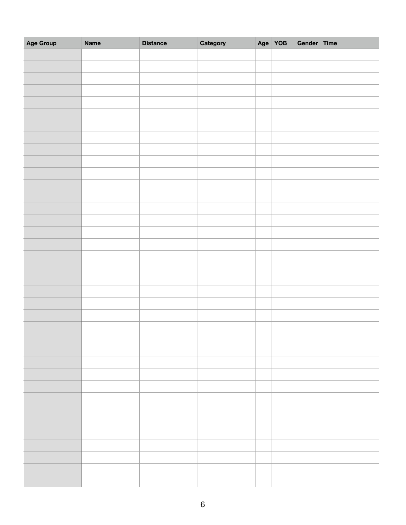| Age Group | <b>Name</b> | <b>Distance</b> | Category | Age YOB | Gender Time |  |
|-----------|-------------|-----------------|----------|---------|-------------|--|
|           |             |                 |          |         |             |  |
|           |             |                 |          |         |             |  |
|           |             |                 |          |         |             |  |
|           |             |                 |          |         |             |  |
|           |             |                 |          |         |             |  |
|           |             |                 |          |         |             |  |
|           |             |                 |          |         |             |  |
|           |             |                 |          |         |             |  |
|           |             |                 |          |         |             |  |
|           |             |                 |          |         |             |  |
|           |             |                 |          |         |             |  |
|           |             |                 |          |         |             |  |
|           |             |                 |          |         |             |  |
|           |             |                 |          |         |             |  |
|           |             |                 |          |         |             |  |
|           |             |                 |          |         |             |  |
|           |             |                 |          |         |             |  |
|           |             |                 |          |         |             |  |
|           |             |                 |          |         |             |  |
|           |             |                 |          |         |             |  |
|           |             |                 |          |         |             |  |
|           |             |                 |          |         |             |  |
|           |             |                 |          |         |             |  |
|           |             |                 |          |         |             |  |
|           |             |                 |          |         |             |  |
|           |             |                 |          |         |             |  |
|           |             |                 |          |         |             |  |
|           |             |                 |          |         |             |  |
|           |             |                 |          |         |             |  |
|           |             |                 |          |         |             |  |
|           |             |                 |          |         |             |  |
|           |             |                 |          |         |             |  |
|           |             |                 |          |         |             |  |
|           |             |                 |          |         |             |  |
|           |             |                 |          |         |             |  |
|           |             |                 |          |         |             |  |
|           |             |                 |          |         |             |  |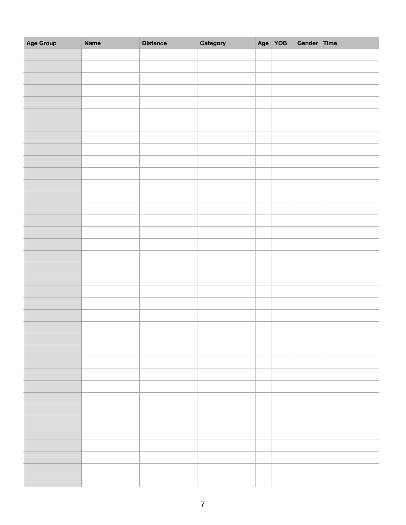| Age Group | <b>Name</b> | <b>Distance</b> | Category | Age YOB | Gender Time |  |
|-----------|-------------|-----------------|----------|---------|-------------|--|
|           |             |                 |          |         |             |  |
|           |             |                 |          |         |             |  |
|           |             |                 |          |         |             |  |
|           |             |                 |          |         |             |  |
|           |             |                 |          |         |             |  |
|           |             |                 |          |         |             |  |
|           |             |                 |          |         |             |  |
|           |             |                 |          |         |             |  |
|           |             |                 |          |         |             |  |
|           |             |                 |          |         |             |  |
|           |             |                 |          |         |             |  |
|           |             |                 |          |         |             |  |
|           |             |                 |          |         |             |  |
|           |             |                 |          |         |             |  |
|           |             |                 |          |         |             |  |
|           |             |                 |          |         |             |  |
|           |             |                 |          |         |             |  |
|           |             |                 |          |         |             |  |
|           |             |                 |          |         |             |  |
|           |             |                 |          |         |             |  |
|           |             |                 |          |         |             |  |
|           |             |                 |          |         |             |  |
|           |             |                 |          |         |             |  |
|           |             |                 |          |         |             |  |
|           |             |                 |          |         |             |  |
|           |             |                 |          |         |             |  |
|           |             |                 |          |         |             |  |
|           |             |                 |          |         |             |  |
|           |             |                 |          |         |             |  |
|           |             |                 |          |         |             |  |
|           |             |                 |          |         |             |  |
|           |             |                 |          |         |             |  |
|           |             |                 |          |         |             |  |
|           |             |                 |          |         |             |  |
|           |             |                 |          |         |             |  |
|           |             |                 |          |         |             |  |
|           |             |                 |          |         |             |  |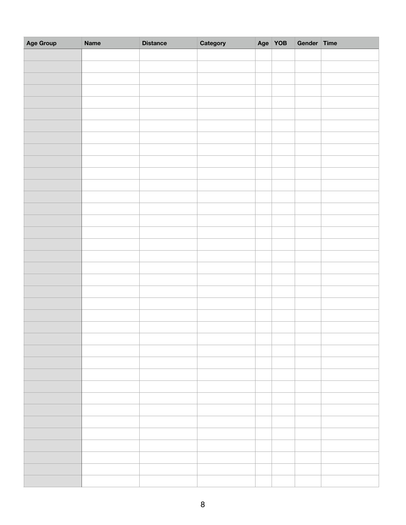| Age Group | <b>Name</b> | <b>Distance</b> | Category | Age YOB | Gender Time |  |
|-----------|-------------|-----------------|----------|---------|-------------|--|
|           |             |                 |          |         |             |  |
|           |             |                 |          |         |             |  |
|           |             |                 |          |         |             |  |
|           |             |                 |          |         |             |  |
|           |             |                 |          |         |             |  |
|           |             |                 |          |         |             |  |
|           |             |                 |          |         |             |  |
|           |             |                 |          |         |             |  |
|           |             |                 |          |         |             |  |
|           |             |                 |          |         |             |  |
|           |             |                 |          |         |             |  |
|           |             |                 |          |         |             |  |
|           |             |                 |          |         |             |  |
|           |             |                 |          |         |             |  |
|           |             |                 |          |         |             |  |
|           |             |                 |          |         |             |  |
|           |             |                 |          |         |             |  |
|           |             |                 |          |         |             |  |
|           |             |                 |          |         |             |  |
|           |             |                 |          |         |             |  |
|           |             |                 |          |         |             |  |
|           |             |                 |          |         |             |  |
|           |             |                 |          |         |             |  |
|           |             |                 |          |         |             |  |
|           |             |                 |          |         |             |  |
|           |             |                 |          |         |             |  |
|           |             |                 |          |         |             |  |
|           |             |                 |          |         |             |  |
|           |             |                 |          |         |             |  |
|           |             |                 |          |         |             |  |
|           |             |                 |          |         |             |  |
|           |             |                 |          |         |             |  |
|           |             |                 |          |         |             |  |
|           |             |                 |          |         |             |  |
|           |             |                 |          |         |             |  |
|           |             |                 |          |         |             |  |
|           |             |                 |          |         |             |  |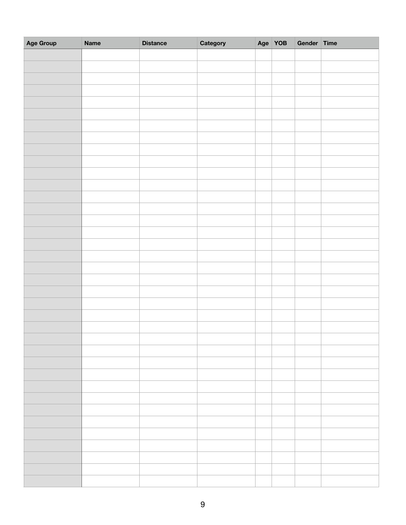| Age Group | <b>Name</b> | <b>Distance</b> | Category | Age YOB | Gender Time |  |
|-----------|-------------|-----------------|----------|---------|-------------|--|
|           |             |                 |          |         |             |  |
|           |             |                 |          |         |             |  |
|           |             |                 |          |         |             |  |
|           |             |                 |          |         |             |  |
|           |             |                 |          |         |             |  |
|           |             |                 |          |         |             |  |
|           |             |                 |          |         |             |  |
|           |             |                 |          |         |             |  |
|           |             |                 |          |         |             |  |
|           |             |                 |          |         |             |  |
|           |             |                 |          |         |             |  |
|           |             |                 |          |         |             |  |
|           |             |                 |          |         |             |  |
|           |             |                 |          |         |             |  |
|           |             |                 |          |         |             |  |
|           |             |                 |          |         |             |  |
|           |             |                 |          |         |             |  |
|           |             |                 |          |         |             |  |
|           |             |                 |          |         |             |  |
|           |             |                 |          |         |             |  |
|           |             |                 |          |         |             |  |
|           |             |                 |          |         |             |  |
|           |             |                 |          |         |             |  |
|           |             |                 |          |         |             |  |
|           |             |                 |          |         |             |  |
|           |             |                 |          |         |             |  |
|           |             |                 |          |         |             |  |
|           |             |                 |          |         |             |  |
|           |             |                 |          |         |             |  |
|           |             |                 |          |         |             |  |
|           |             |                 |          |         |             |  |
|           |             |                 |          |         |             |  |
|           |             |                 |          |         |             |  |
|           |             |                 |          |         |             |  |
|           |             |                 |          |         |             |  |
|           |             |                 |          |         |             |  |
|           |             |                 |          |         |             |  |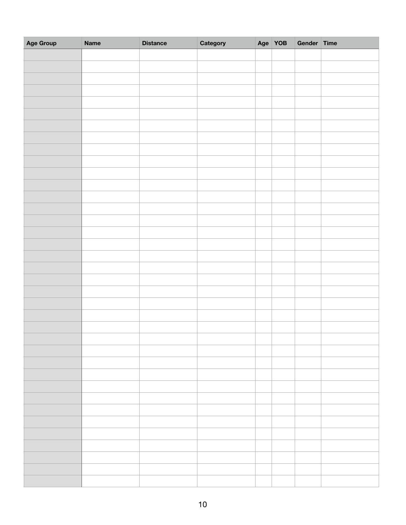| Age Group | <b>Name</b> | <b>Distance</b> | Category | Age YOB | Gender Time |  |
|-----------|-------------|-----------------|----------|---------|-------------|--|
|           |             |                 |          |         |             |  |
|           |             |                 |          |         |             |  |
|           |             |                 |          |         |             |  |
|           |             |                 |          |         |             |  |
|           |             |                 |          |         |             |  |
|           |             |                 |          |         |             |  |
|           |             |                 |          |         |             |  |
|           |             |                 |          |         |             |  |
|           |             |                 |          |         |             |  |
|           |             |                 |          |         |             |  |
|           |             |                 |          |         |             |  |
|           |             |                 |          |         |             |  |
|           |             |                 |          |         |             |  |
|           |             |                 |          |         |             |  |
|           |             |                 |          |         |             |  |
|           |             |                 |          |         |             |  |
|           |             |                 |          |         |             |  |
|           |             |                 |          |         |             |  |
|           |             |                 |          |         |             |  |
|           |             |                 |          |         |             |  |
|           |             |                 |          |         |             |  |
|           |             |                 |          |         |             |  |
|           |             |                 |          |         |             |  |
|           |             |                 |          |         |             |  |
|           |             |                 |          |         |             |  |
|           |             |                 |          |         |             |  |
|           |             |                 |          |         |             |  |
|           |             |                 |          |         |             |  |
|           |             |                 |          |         |             |  |
|           |             |                 |          |         |             |  |
|           |             |                 |          |         |             |  |
|           |             |                 |          |         |             |  |
|           |             |                 |          |         |             |  |
|           |             |                 |          |         |             |  |
|           |             |                 |          |         |             |  |
|           |             |                 |          |         |             |  |
|           |             |                 |          |         |             |  |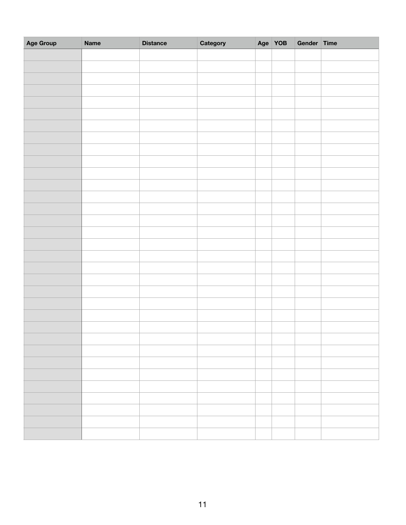| Age Group | <b>Name</b> | <b>Distance</b> | Category | Age YOB | Gender Time |  |
|-----------|-------------|-----------------|----------|---------|-------------|--|
|           |             |                 |          |         |             |  |
|           |             |                 |          |         |             |  |
|           |             |                 |          |         |             |  |
|           |             |                 |          |         |             |  |
|           |             |                 |          |         |             |  |
|           |             |                 |          |         |             |  |
|           |             |                 |          |         |             |  |
|           |             |                 |          |         |             |  |
|           |             |                 |          |         |             |  |
|           |             |                 |          |         |             |  |
|           |             |                 |          |         |             |  |
|           |             |                 |          |         |             |  |
|           |             |                 |          |         |             |  |
|           |             |                 |          |         |             |  |
|           |             |                 |          |         |             |  |
|           |             |                 |          |         |             |  |
|           |             |                 |          |         |             |  |
|           |             |                 |          |         |             |  |
|           |             |                 |          |         |             |  |
|           |             |                 |          |         |             |  |
|           |             |                 |          |         |             |  |
|           |             |                 |          |         |             |  |
|           |             |                 |          |         |             |  |
|           |             |                 |          |         |             |  |
|           |             |                 |          |         |             |  |
|           |             |                 |          |         |             |  |
|           |             |                 |          |         |             |  |
|           |             |                 |          |         |             |  |
|           |             |                 |          |         |             |  |
|           |             |                 |          |         |             |  |
|           |             |                 |          |         |             |  |
|           |             |                 |          |         |             |  |
|           |             |                 |          |         |             |  |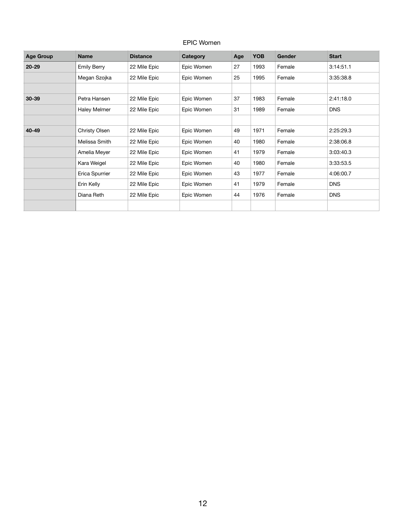## EPIC Women

| <b>Age Group</b> | <b>Name</b>         | <b>Distance</b> | Category   | Age | <b>YOB</b> | Gender | <b>Start</b> |
|------------------|---------------------|-----------------|------------|-----|------------|--------|--------------|
| $20 - 29$        | <b>Emily Berry</b>  | 22 Mile Epic    | Epic Women | 27  | 1993       | Female | 3:14:51.1    |
|                  | Megan Szojka        | 22 Mile Epic    | Epic Women | 25  | 1995       | Female | 3:35:38.8    |
|                  |                     |                 |            |     |            |        |              |
| $30 - 39$        | Petra Hansen        | 22 Mile Epic    | Epic Women | 37  | 1983       | Female | 2:41:18.0    |
|                  | <b>Haley Melmer</b> | 22 Mile Epic    | Epic Women | 31  | 1989       | Female | <b>DNS</b>   |
|                  |                     |                 |            |     |            |        |              |
| 40-49            | Christy Olsen       | 22 Mile Epic    | Epic Women | 49  | 1971       | Female | 2:25:29.3    |
|                  | Melissa Smith       | 22 Mile Epic    | Epic Women | 40  | 1980       | Female | 2:38:06.8    |
|                  | Amelia Meyer        | 22 Mile Epic    | Epic Women | 41  | 1979       | Female | 3:03:40.3    |
|                  | Kara Weigel         | 22 Mile Epic    | Epic Women | 40  | 1980       | Female | 3:33:53.5    |
|                  | Erica Spurrier      | 22 Mile Epic    | Epic Women | 43  | 1977       | Female | 4:06:00.7    |
|                  | Erin Kelly          | 22 Mile Epic    | Epic Women | 41  | 1979       | Female | <b>DNS</b>   |
|                  | Diana Reth          | 22 Mile Epic    | Epic Women | 44  | 1976       | Female | <b>DNS</b>   |
|                  |                     |                 |            |     |            |        |              |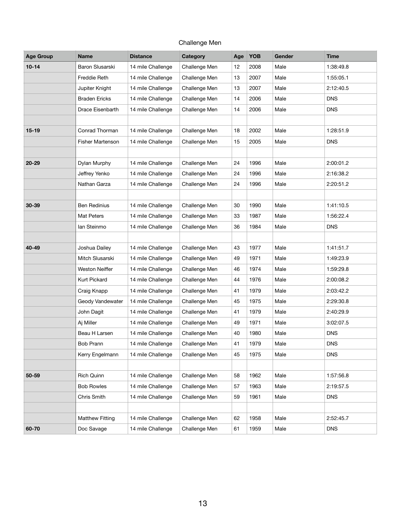## Challenge Men

| <b>Age Group</b> | <b>Name</b>            | <b>Distance</b>   | Category      | Age | YOB  | Gender | <b>Time</b> |
|------------------|------------------------|-------------------|---------------|-----|------|--------|-------------|
| $10 - 14$        | Baron Slusarski        | 14 mile Challenge | Challenge Men | 12  | 2008 | Male   | 1:38:49.8   |
|                  | Freddie Reth           | 14 mile Challenge | Challenge Men | 13  | 2007 | Male   | 1:55:05.1   |
|                  | Jupiter Knight         | 14 mile Challenge | Challenge Men | 13  | 2007 | Male   | 2:12:40.5   |
|                  | <b>Braden Ericks</b>   | 14 mile Challenge | Challenge Men | 14  | 2006 | Male   | <b>DNS</b>  |
|                  | Drace Eisenbarth       | 14 mile Challenge | Challenge Men | 14  | 2006 | Male   | <b>DNS</b>  |
|                  |                        |                   |               |     |      |        |             |
| $15 - 19$        | Conrad Thorman         | 14 mile Challenge | Challenge Men | 18  | 2002 | Male   | 1:28:51.9   |
|                  | Fisher Martenson       | 14 mile Challenge | Challenge Men | 15  | 2005 | Male   | <b>DNS</b>  |
|                  |                        |                   |               |     |      |        |             |
| $20 - 29$        | Dylan Murphy           | 14 mile Challenge | Challenge Men | 24  | 1996 | Male   | 2:00:01.2   |
|                  | Jeffrey Yenko          | 14 mile Challenge | Challenge Men | 24  | 1996 | Male   | 2:16:38.2   |
|                  | Nathan Garza           | 14 mile Challenge | Challenge Men | 24  | 1996 | Male   | 2:20:51.2   |
|                  |                        |                   |               |     |      |        |             |
| 30-39            | <b>Ben Redinius</b>    | 14 mile Challenge | Challenge Men | 30  | 1990 | Male   | 1:41:10.5   |
|                  | Mat Peters             | 14 mile Challenge | Challenge Men | 33  | 1987 | Male   | 1:56:22.4   |
|                  | lan Steinmo            | 14 mile Challenge | Challenge Men | 36  | 1984 | Male   | <b>DNS</b>  |
|                  |                        |                   |               |     |      |        |             |
| 40-49            | Joshua Dailey          | 14 mile Challenge | Challenge Men | 43  | 1977 | Male   | 1:41:51.7   |
|                  | Mitch Slusarski        | 14 mile Challenge | Challenge Men | 49  | 1971 | Male   | 1:49:23.9   |
|                  | <b>Weston Neiffer</b>  | 14 mile Challenge | Challenge Men | 46  | 1974 | Male   | 1:59:29.8   |
|                  | <b>Kurt Pickard</b>    | 14 mile Challenge | Challenge Men | 44  | 1976 | Male   | 2:00:08.2   |
|                  | Craig Knapp            | 14 mile Challenge | Challenge Men | 41  | 1979 | Male   | 2:03:42.2   |
|                  | Geody Vandewater       | 14 mile Challenge | Challenge Men | 45  | 1975 | Male   | 2:29:30.8   |
|                  | John Dagit             | 14 mile Challenge | Challenge Men | 41  | 1979 | Male   | 2:40:29.9   |
|                  | Aj Miller              | 14 mile Challenge | Challenge Men | 49  | 1971 | Male   | 3:02:07.5   |
|                  | Beau H Larsen          | 14 mile Challenge | Challenge Men | 40  | 1980 | Male   | <b>DNS</b>  |
|                  | <b>Bob Prann</b>       | 14 mile Challenge | Challenge Men | 41  | 1979 | Male   | <b>DNS</b>  |
|                  | Kerry Engelmann        | 14 mile Challenge | Challenge Men | 45  | 1975 | Male   | <b>DNS</b>  |
|                  |                        |                   |               |     |      |        |             |
| 50-59            | <b>Rich Quinn</b>      | 14 mile Challenge | Challenge Men | 58  | 1962 | Male   | 1:57:56.8   |
|                  | <b>Bob Rowles</b>      | 14 mile Challenge | Challenge Men | 57  | 1963 | Male   | 2:19:57.5   |
|                  | Chris Smith            | 14 mile Challenge | Challenge Men | 59  | 1961 | Male   | <b>DNS</b>  |
|                  |                        |                   |               |     |      |        |             |
|                  | <b>Matthew Fitting</b> | 14 mile Challenge | Challenge Men | 62  | 1958 | Male   | 2:52:45.7   |
| 60-70            | Doc Savage             | 14 mile Challenge | Challenge Men | 61  | 1959 | Male   | <b>DNS</b>  |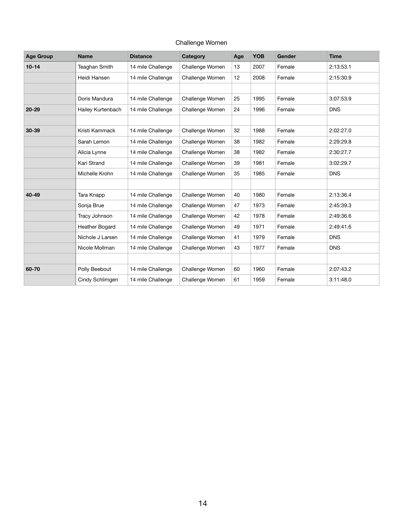| <b>Challenge Women</b> |  |
|------------------------|--|
|------------------------|--|

| <b>Age Group</b> | <b>Name</b>          | <b>Distance</b>   | <b>Category</b> | Age | <b>YOB</b> | <b>Gender</b> | <b>Time</b> |
|------------------|----------------------|-------------------|-----------------|-----|------------|---------------|-------------|
| $10 - 14$        | <b>Teaghan Smith</b> | 14 mile Challenge | Challenge Women | 13  | 2007       | Female        | 2:13:53.1   |
|                  | Heidi Hansen         | 14 mile Challenge | Challenge Women | 12  | 2008       | Female        | 2:15:30.9   |
|                  |                      |                   |                 |     |            |               |             |
|                  | Doris Mandura        | 14 mile Challenge | Challenge Women | 25  | 1995       | Female        | 3:07:53.9   |
| $20 - 29$        | Hailey Kurtenbach    | 14 mile Challenge | Challenge Women | 24  | 1996       | Female        | <b>DNS</b>  |
|                  |                      |                   |                 |     |            |               |             |
| 30-39            | Kristi Kammack       | 14 mile Challenge | Challenge Women | 32  | 1988       | Female        | 2:02:27.0   |
|                  | Sarah Lemon          | 14 mile Challenge | Challenge Women | 38  | 1982       | Female        | 2:29:29.8   |
|                  | Alicia Lynne         | 14 mile Challenge | Challenge Women | 38  | 1982       | Female        | 2:30:27.7   |
|                  | Kari Strand          | 14 mile Challenge | Challenge Women | 39  | 1981       | Female        | 3:02:29.7   |
|                  | Michelle Krohn       | 14 mile Challenge | Challenge Women | 35  | 1985       | Female        | <b>DNS</b>  |
|                  |                      |                   |                 |     |            |               |             |
| 40-49            | Tara Knapp           | 14 mile Challenge | Challenge Women | 40  | 1980       | Female        | 2:13:36.4   |
|                  | Sonja Brue           | 14 mile Challenge | Challenge Women | 47  | 1973       | Female        | 2:45:39.3   |
|                  | Tracy Johnson        | 14 mile Challenge | Challenge Women | 42  | 1978       | Female        | 2:49:36.6   |
|                  | Heather Bogard       | 14 mile Challenge | Challenge Women | 49  | 1971       | Female        | 2:49:41.6   |
|                  | Nichole J Larsen     | 14 mile Challenge | Challenge Women | 41  | 1979       | Female        | <b>DNS</b>  |
|                  | Nicole Mollman       | 14 mile Challenge | Challenge Women | 43  | 1977       | Female        | <b>DNS</b>  |
|                  |                      |                   |                 |     |            |               |             |
| 60-70            | Polly Beebout        | 14 mile Challenge | Challenge Women | 60  | 1960       | Female        | 2:07:43.2   |
|                  | Cindy Schlimgen      | 14 mile Challenge | Challenge Women | 61  | 1959       | Female        | 3:11:48.0   |